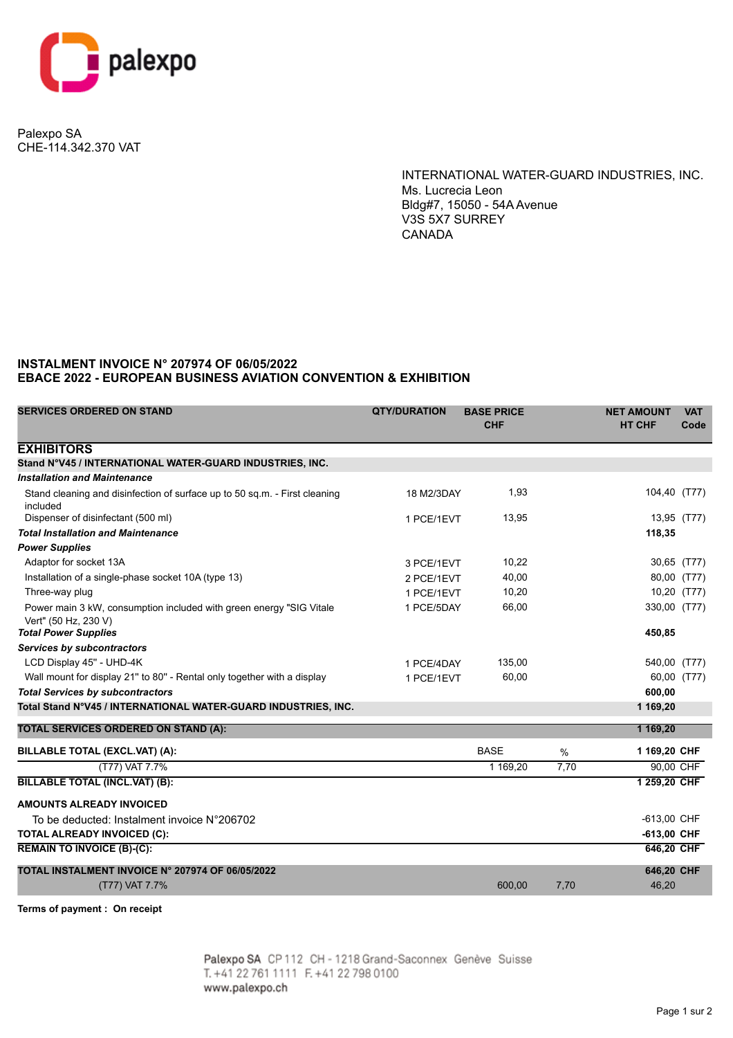

Palexpo SA CHE-114.342.370 VAT

> INTERNATIONAL WATER-GUARD INDUSTRIES, INC. Ms. Lucrecia Leon Bldg#7, 15050 - 54A Avenue V3S 5X7 SURREY CANADA

## **INSTALMENT INVOICE N° 207974 OF 06/05/2022 EBACE 2022 - EUROPEAN BUSINESS AVIATION CONVENTION & EXHIBITION**

| <b>SERVICES ORDERED ON STAND</b>                                                             | <b>QTY/DURATION</b> | <b>BASE PRICE</b><br><b>CHF</b> |      | <b>NET AMOUNT</b><br><b>HT CHF</b> | <b>VAT</b><br>Code |
|----------------------------------------------------------------------------------------------|---------------------|---------------------------------|------|------------------------------------|--------------------|
| <b>EXHIBITORS</b>                                                                            |                     |                                 |      |                                    |                    |
| Stand N°V45 / INTERNATIONAL WATER-GUARD INDUSTRIES, INC.                                     |                     |                                 |      |                                    |                    |
| <b>Installation and Maintenance</b>                                                          |                     |                                 |      |                                    |                    |
| Stand cleaning and disinfection of surface up to 50 sq.m. - First cleaning<br>included       | 18 M2/3DAY          | 1,93                            |      |                                    | 104,40 (T77)       |
| Dispenser of disinfectant (500 ml)                                                           | 1 PCE/1EVT          | 13,95                           |      |                                    | 13,95 (T77)        |
| <b>Total Installation and Maintenance</b>                                                    |                     |                                 |      | 118,35                             |                    |
| <b>Power Supplies</b>                                                                        |                     |                                 |      |                                    |                    |
| Adaptor for socket 13A                                                                       | 3 PCE/1EVT          | 10,22                           |      |                                    | 30,65 (T77)        |
| Installation of a single-phase socket 10A (type 13)                                          | 2 PCE/1EVT          | 40,00                           |      |                                    | 80,00 (T77)        |
| Three-way plug                                                                               | 1 PCE/1EVT          | 10,20                           |      |                                    | 10,20 (T77)        |
| Power main 3 kW, consumption included with green energy "SIG Vitale"<br>Vert" (50 Hz, 230 V) | 1 PCE/5DAY          | 66,00                           |      | 330,00 (T77)                       |                    |
| <b>Total Power Supplies</b>                                                                  |                     |                                 |      | 450,85                             |                    |
| Services by subcontractors                                                                   |                     |                                 |      |                                    |                    |
| LCD Display 45" - UHD-4K                                                                     | 1 PCE/4DAY          | 135,00                          |      | 540,00 (T77)                       |                    |
| Wall mount for display 21" to 80" - Rental only together with a display                      | 1 PCE/1EVT          | 60,00                           |      |                                    | 60,00 (T77)        |
| <b>Total Services by subcontractors</b>                                                      |                     |                                 |      | 600.00                             |                    |
| Total Stand N°V45 / INTERNATIONAL WATER-GUARD INDUSTRIES, INC.                               |                     |                                 |      | 1 169,20                           |                    |
| <b>TOTAL SERVICES ORDERED ON STAND (A):</b>                                                  |                     |                                 |      | 1 169,20                           |                    |
| BILLABLE TOTAL (EXCL.VAT) (A):                                                               |                     | <b>BASE</b>                     | %    | 1 169,20 CHF                       |                    |
| (T77) VAT 7.7%                                                                               |                     | 1 169,20                        | 7,70 |                                    | 90,00 CHF          |
| <b>BILLABLE TOTAL (INCL.VAT) (B):</b>                                                        |                     |                                 |      | 1 259,20 CHF                       |                    |
| <b>AMOUNTS ALREADY INVOICED</b>                                                              |                     |                                 |      |                                    |                    |
| To be deducted: Instalment invoice N°206702                                                  |                     |                                 |      | -613,00 CHF                        |                    |
| <b>TOTAL ALREADY INVOICED (C):</b>                                                           |                     |                                 |      | -613,00 CHF                        |                    |
| <b>REMAIN TO INVOICE (B)-(C):</b>                                                            |                     |                                 |      | 646,20 CHF                         |                    |
| TOTAL INSTALMENT INVOICE N° 207974 OF 06/05/2022                                             |                     |                                 |      | 646,20 CHF                         |                    |
| (T77) VAT 7.7%                                                                               |                     | 600,00                          | 7,70 | 46,20                              |                    |

**Terms of payment : On receipt**